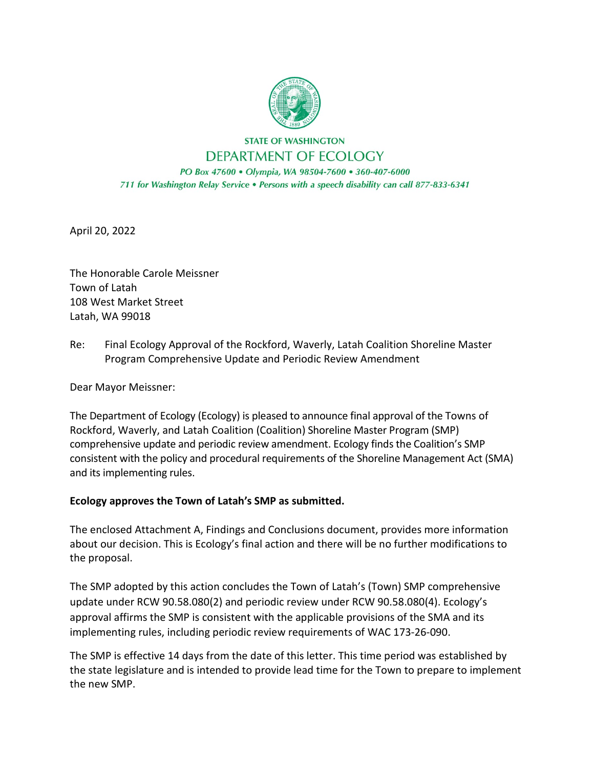

**STATE OF WASHINGTON** DEPARTMENT OF ECOLOGY

PO Box 47600 · Olympia, WA 98504-7600 · 360-407-6000 711 for Washington Relay Service . Persons with a speech disability can call 877-833-6341

April 20, 2022

The Honorable Carole Meissner Town of Latah 108 West Market Street Latah, WA 99018

Re: Final Ecology Approval of the Rockford, Waverly, Latah Coalition Shoreline Master Program Comprehensive Update and Periodic Review Amendment

Dear Mayor Meissner:

The Department of Ecology (Ecology) is pleased to announce final approval of the Towns of Rockford, Waverly, and Latah Coalition (Coalition) Shoreline Master Program (SMP) comprehensive update and periodic review amendment. Ecology finds the Coalition's SMP consistent with the policy and procedural requirements of the Shoreline Management Act (SMA) and its implementing rules.

## **Ecology approves the Town of Latah's SMP as submitted.**

The enclosed Attachment A, Findings and Conclusions document, provides more information about our decision. This is Ecology's final action and there will be no further modifications to the proposal.

The SMP adopted by this action concludes the Town of Latah's (Town) SMP comprehensive update under RCW 90.58.080(2) and periodic review under RCW 90.58.080(4). Ecology's approval affirms the SMP is consistent with the applicable provisions of the SMA and its implementing rules, including periodic review requirements of WAC 173-26-090.

The SMP is effective 14 days from the date of this letter. This time period was established by the state legislature and is intended to provide lead time for the Town to prepare to implement the new SMP.